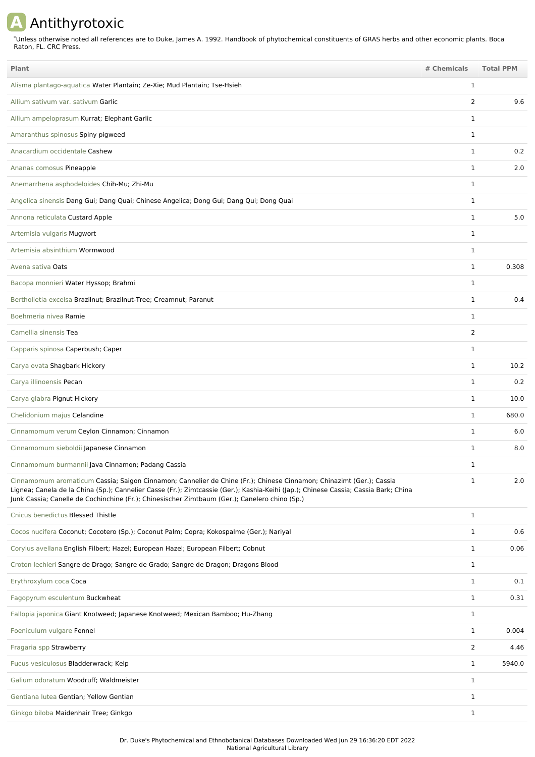## **A** Antithyrotoxic

Unless otherwise noted all references are to Duke, James A. 1992. Handbook of phytochemical constituents of GRAS herbs and other economic plants. Boca Raton, FL. CRC Press. \*

| Plant                                                                                                                                                                                                                                                                                                                                                       | # Chemicals    | <b>Total PPM</b> |
|-------------------------------------------------------------------------------------------------------------------------------------------------------------------------------------------------------------------------------------------------------------------------------------------------------------------------------------------------------------|----------------|------------------|
| Alisma plantago-aquatica Water Plantain; Ze-Xie; Mud Plantain; Tse-Hsieh                                                                                                                                                                                                                                                                                    | 1              |                  |
| Allium sativum var. sativum Garlic                                                                                                                                                                                                                                                                                                                          | 2              | 9.6              |
| Allium ampeloprasum Kurrat; Elephant Garlic                                                                                                                                                                                                                                                                                                                 | 1              |                  |
| Amaranthus spinosus Spiny pigweed                                                                                                                                                                                                                                                                                                                           | $\mathbf{1}$   |                  |
| Anacardium occidentale Cashew                                                                                                                                                                                                                                                                                                                               | $\mathbf{1}$   | 0.2              |
| Ananas comosus Pineapple                                                                                                                                                                                                                                                                                                                                    | $\mathbf{1}$   | 2.0              |
| Anemarrhena asphodeloides Chih-Mu; Zhi-Mu                                                                                                                                                                                                                                                                                                                   | 1              |                  |
| Angelica sinensis Dang Gui; Dang Quai; Chinese Angelica; Dong Gui; Dang Qui; Dong Quai                                                                                                                                                                                                                                                                      | 1              |                  |
| Annona reticulata Custard Apple                                                                                                                                                                                                                                                                                                                             | 1              | 5.0              |
| Artemisia vulgaris Mugwort                                                                                                                                                                                                                                                                                                                                  | 1              |                  |
| Artemisia absinthium Wormwood                                                                                                                                                                                                                                                                                                                               | 1              |                  |
| Avena sativa Oats                                                                                                                                                                                                                                                                                                                                           | 1              | 0.308            |
| Bacopa monnieri Water Hyssop; Brahmi                                                                                                                                                                                                                                                                                                                        | 1              |                  |
| Bertholletia excelsa Brazilnut; Brazilnut-Tree; Creamnut; Paranut                                                                                                                                                                                                                                                                                           | $\mathbf 1$    | 0.4              |
| Boehmeria nivea Ramie                                                                                                                                                                                                                                                                                                                                       | $\mathbf 1$    |                  |
| Camellia sinensis Tea                                                                                                                                                                                                                                                                                                                                       | $\overline{2}$ |                  |
| Capparis spinosa Caperbush; Caper                                                                                                                                                                                                                                                                                                                           | 1              |                  |
| Carya ovata Shagbark Hickory                                                                                                                                                                                                                                                                                                                                | 1              | 10.2             |
| Carya illinoensis Pecan                                                                                                                                                                                                                                                                                                                                     | 1              | 0.2              |
| Carya glabra Pignut Hickory                                                                                                                                                                                                                                                                                                                                 | 1              | 10.0             |
| Chelidonium majus Celandine                                                                                                                                                                                                                                                                                                                                 | $\mathbf{1}$   | 680.0            |
| Cinnamomum verum Ceylon Cinnamon; Cinnamon                                                                                                                                                                                                                                                                                                                  | 1              | 6.0              |
| Cinnamomum sieboldii Japanese Cinnamon                                                                                                                                                                                                                                                                                                                      | $\mathbf{1}$   | 8.0              |
| Cinnamomum burmannii Java Cinnamon; Padang Cassia                                                                                                                                                                                                                                                                                                           |                |                  |
| Cinnamomum aromaticum Cassia; Saigon Cinnamon; Cannelier de Chine (Fr.); Chinese Cinnamon; Chinazimt (Ger.); Cassia<br>Lignea; Canela de la China (Sp.); Cannelier Casse (Fr.); Zimtcassie (Ger.); Kashia-Keihi (Jap.); Chinese Cassia; Cassia Bark; China<br>Junk Cassia; Canelle de Cochinchine (Fr.); Chinesischer Zimtbaum (Ger.); Canelero chino (Sp.) | $\mathbf{1}$   | 2.0              |
| Cnicus benedictus Blessed Thistle                                                                                                                                                                                                                                                                                                                           | $\mathbf{1}$   |                  |
| Cocos nucifera Coconut; Cocotero (Sp.); Coconut Palm; Copra; Kokospalme (Ger.); Nariyal                                                                                                                                                                                                                                                                     | $\mathbf{1}$   | 0.6              |
| Corylus avellana English Filbert; Hazel; European Hazel; European Filbert; Cobnut                                                                                                                                                                                                                                                                           | $\mathbf{1}$   | 0.06             |
| Croton lechleri Sangre de Drago; Sangre de Grado; Sangre de Dragon; Dragons Blood                                                                                                                                                                                                                                                                           | $\mathbf{1}$   |                  |
| Erythroxylum coca Coca                                                                                                                                                                                                                                                                                                                                      | $\mathbf{1}$   | 0.1              |
| Fagopyrum esculentum Buckwheat                                                                                                                                                                                                                                                                                                                              | $\mathbf{1}$   | 0.31             |
| Fallopia japonica Giant Knotweed; Japanese Knotweed; Mexican Bamboo; Hu-Zhang                                                                                                                                                                                                                                                                               | 1              |                  |
| Foeniculum vulgare Fennel                                                                                                                                                                                                                                                                                                                                   | $\mathbf{1}$   | 0.004            |
| Fragaria spp Strawberry                                                                                                                                                                                                                                                                                                                                     | 2              | 4.46             |
| Fucus vesiculosus Bladderwrack; Kelp                                                                                                                                                                                                                                                                                                                        | $\mathbf{1}$   | 5940.0           |
| Galium odoratum Woodruff; Waldmeister                                                                                                                                                                                                                                                                                                                       | $\mathbf{1}$   |                  |
| Gentiana lutea Gentian; Yellow Gentian                                                                                                                                                                                                                                                                                                                      | 1              |                  |
| Ginkgo biloba Maidenhair Tree; Ginkgo                                                                                                                                                                                                                                                                                                                       | $\mathbf{1}$   |                  |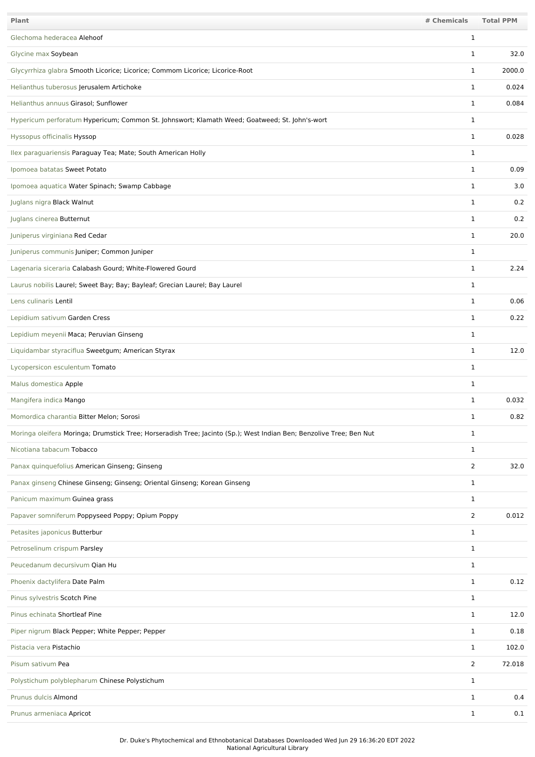| Plant                                                                                                               | # Chemicals    | <b>Total PPM</b> |
|---------------------------------------------------------------------------------------------------------------------|----------------|------------------|
| Glechoma hederacea Alehoof                                                                                          | 1              |                  |
| Glycine max Soybean                                                                                                 | 1              | 32.0             |
| Glycyrrhiza glabra Smooth Licorice; Licorice; Commom Licorice; Licorice-Root                                        | 1              | 2000.0           |
| Helianthus tuberosus Jerusalem Artichoke                                                                            | 1              | 0.024            |
| Helianthus annuus Girasol; Sunflower                                                                                | 1              | 0.084            |
| Hypericum perforatum Hypericum; Common St. Johnswort; Klamath Weed; Goatweed; St. John's-wort                       | 1              |                  |
| Hyssopus officinalis Hyssop                                                                                         | 1              | 0.028            |
| Ilex paraguariensis Paraguay Tea; Mate; South American Holly                                                        | 1              |                  |
| Ipomoea batatas Sweet Potato                                                                                        | 1              | 0.09             |
| Ipomoea aquatica Water Spinach; Swamp Cabbage                                                                       | $\mathbf 1$    | 3.0              |
| Juglans nigra Black Walnut                                                                                          | $\mathbf 1$    | 0.2              |
| Juglans cinerea Butternut                                                                                           | $\mathbf 1$    | 0.2              |
| Juniperus virginiana Red Cedar                                                                                      | 1              | 20.0             |
| Juniperus communis Juniper; Common Juniper                                                                          | 1              |                  |
| Lagenaria siceraria Calabash Gourd; White-Flowered Gourd                                                            | 1              | 2.24             |
| Laurus nobilis Laurel; Sweet Bay; Bay; Bayleaf; Grecian Laurel; Bay Laurel                                          | 1              |                  |
| Lens culinaris Lentil                                                                                               | 1              | 0.06             |
| Lepidium sativum Garden Cress                                                                                       | 1              | 0.22             |
| Lepidium meyenii Maca; Peruvian Ginseng                                                                             | 1              |                  |
| Liquidambar styraciflua Sweetgum; American Styrax                                                                   | 1              | 12.0             |
| Lycopersicon esculentum Tomato                                                                                      | $\mathbf 1$    |                  |
| Malus domestica Apple                                                                                               | 1              |                  |
| Mangifera indica Mango                                                                                              | 1              | 0.032            |
| Momordica charantia Bitter Melon; Sorosi                                                                            | 1              | 0.82             |
| Moringa oleifera Moringa; Drumstick Tree; Horseradish Tree; Jacinto (Sp.); West Indian Ben; Benzolive Tree; Ben Nut | 1              |                  |
| Nicotiana tabacum Tobacco                                                                                           | 1              |                  |
| Panax quinquefolius American Ginseng; Ginseng                                                                       | $\overline{2}$ | 32.0             |
| Panax ginseng Chinese Ginseng; Ginseng; Oriental Ginseng; Korean Ginseng                                            | 1              |                  |
| Panicum maximum Guinea grass                                                                                        | $\mathbf 1$    |                  |
| Papaver somniferum Poppyseed Poppy; Opium Poppy                                                                     | $\overline{2}$ | 0.012            |
| Petasites japonicus Butterbur                                                                                       | $\mathbf 1$    |                  |
| Petroselinum crispum Parsley                                                                                        | $\mathbf{1}$   |                  |
| Peucedanum decursivum Qian Hu                                                                                       | 1              |                  |
| Phoenix dactylifera Date Palm                                                                                       | 1              | 0.12             |
| Pinus sylvestris Scotch Pine                                                                                        | 1              |                  |
| Pinus echinata Shortleaf Pine                                                                                       | 1              | 12.0             |
| Piper nigrum Black Pepper; White Pepper; Pepper                                                                     | 1              | 0.18             |
| Pistacia vera Pistachio                                                                                             | 1              | 102.0            |
| Pisum sativum Pea                                                                                                   | 2              | 72.018           |
| Polystichum polyblepharum Chinese Polystichum                                                                       | $\mathbf 1$    |                  |
| Prunus dulcis Almond                                                                                                | 1              | 0.4              |
| Prunus armeniaca Apricot                                                                                            | 1              | 0.1              |